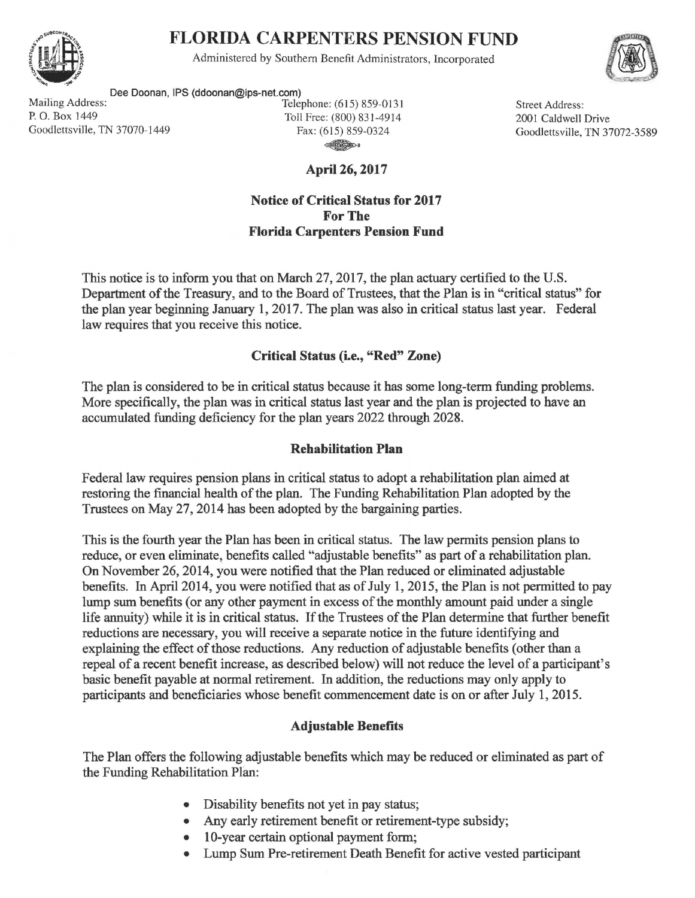

# FLORIDA CARPENTERS PENSION FUND

Administered by Southern Benefit Administrators, Incorporated



Dee Doonan, IPS (ddoonan@ips-net.com)<br>Tele Mailing Address: Telephone: (615) 859-0131 Street Address:<br>
P. O. Box 1449 Toll Free: (800) 831-4914 2001 Caldwell Goodlettsville, TN 37070-1449 Fax: (615) 859-0324

Toll Free: (800) 831-4914 ~·

April 26, 2017

#### Notice of Critical Status for 2017 For The Florida Carpenters Pension Fund

2001 Caldwell Drive Goodlettsville, TN 37072-3589

This notice is to inform you that on March 27, 2017, the plan actuary certified to the U.S. Department of the Treasury, and to the Board of Trustees, that the Plan is in "critical status" for the plan year beginning January 1, 2017. The plan was also in critical status last year. Federal law requires that you receive this notice.

## Critical Status (i.e., "Red" Zone)

The plan is considered to be in critical status because it has some long-term funding problems. More specifically, the plan was in critical status last year and the plan is projected to have an accumulated funding deficiency for the plan years 2022 through 2028.

### Rehabilitation Plan

Federal law requires pension plans in critical status to adopt a rehabilitation plan aimed at restoring the financial health of the plan. The Funding Rehabilitation Plan adopted by the Trustees on May 27, 2014 has been adopted by the bargaining parties.

This is the fourth year the Plan has been in critical status. The law permits pension plans to reduce, or even eliminate, benefits called "adjustable benefits" as part of a rehabilitation plan. On November 26, 2014, you were notified that the Plan reduced or eliminated adjustable benefits. In April 2014, you were notified that as of July 1, 2015, the Plan is not permitted to pay lump sum benefits (or any other payment in excess of the monthly amount paid under a single life annuity) while it is in critical status. If the Trustees of the Plan determine that further benefit reductions are necessary, you will receive a separate notice in the future identifying and explaining the effect of those reductions. Any reduction of adjustable benefits (other than a repeal of a recent benefit increase, as described below) will not reduce the level of a participant's basic benefit payable at normal retirement. In addition, the reductions may only apply to participants and beneficiaries whose benefit commencement date is on or after July 1, 2015.

### Adjustable Benefits

The Plan offers the following adjustable benefits which may be reduced or eliminated as part of the Funding Rehabilitation Plan:

- Disability benefits not yet in pay status;
- Any early retirement benefit or retirement-type subsidy;
- 10-year certain optional payment form;
- Lump Sum Pre-retirement Death Benefit for active vested participant